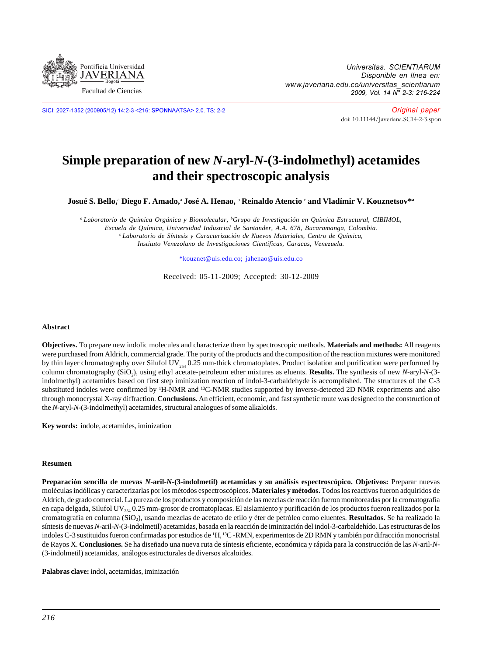

SICI: 2027-1352 (200905/12) 14:2-3 <216: SPONNAATSA> 2.0. TS; 2-2

Original paper [doi: 10.11144/Javeriana.SC14-2-3.spon](http://dx.doi.org/10.11144/javeriana.SC14-2-3.spon)

# **Simple preparation of new** *N***-aryl-***N***-(3-indolmethyl) acetamides and their spectroscopic analysis**

 ${\bf J}$ osué S. Bello,ª Diego F. Amado,ª José A. Henao, <sup>b</sup> Reinaldo Atencio <sup>c</sup> and Vladímir V. Kouznetsov\*ª

*a Laboratorio de Química Orgánica y Biomolecular, b Grupo de Investigación en Química Estructural, CIBIMOL, Escuela de Química, Universidad Industrial de Santander, A.A. 678, Bucaramanga, Colombia. c Laboratorio de Síntesis y Caracterización de Nuevos Materiales, Centro de Química, Instituto Venezolano de Investigaciones Científicas, Caracas, Venezuela.*

\*kouznet@uis.edu.co; jahenao@uis.edu.co

Received: 05-11-2009; Accepted: 30-12-2009

#### **Abstract**

**Objectives.** To prepare new indolic molecules and characterize them by spectroscopic methods. **Materials and methods:** All reagents were purchased from Aldrich, commercial grade. The purity of the products and the composition of the reaction mixtures were monitored by thin layer chromatography over Silufol UV $_{254}$  0.25 mm-thick chromatoplates. Product isolation and purification were performed by column chromatography (SiO<sub>2</sub>), using ethyl acetate-petroleum ether mixtures as eluents. **Results.** The synthesis of new *N*-aryl-*N*-(3indolmethyl) acetamides based on first step iminization reaction of indol-3-carbaldehyde is accomplished. The structures of the C-3 substituted indoles were confirmed by <sup>1</sup>H-NMR and <sup>13</sup>C-NMR studies supported by inverse-detected 2D NMR experiments and also through monocrystal X-ray diffraction. **Conclusions.** An efficient, economic, and fast synthetic route was designed to the construction of the *N*-aryl-*N*-(3-indolmethyl) acetamides, structural analogues of some alkaloids.

**Key words:** indole, acetamides, iminization

#### **Resumen**

**Preparación sencilla de nuevas** *N***-aril-***N***-(3-indolmetil) acetamidas y su análisis espectroscópico. Objetivos:** Preparar nuevas moléculas indólicas y caracterizarlas por los métodos espectroscópicos. **Materiales y métodos.** Todos los reactivos fueron adquiridos de Aldrich, de grado comercial. La pureza de los productos y composición de las mezclas de reacción fueron monitoreadas por la cromatografía en capa delgada, Silufol UV $_{254}$  0.25 mm-grosor de cromatoplacas. El aislamiento y purificación de los productos fueron realizados por la cromatografía en columna (SiO2), usando mezclas de acetato de etilo y éter de petróleo como eluentes. **Resultados.** Se ha realizado la síntesis de nuevas *N*-aril-*N*-(3-indolmetil) acetamidas, basada en la reacción de iminización del indol-3-carbaldehído. Las estructuras de los indoles C-3 sustituidos fueron confirmadas por estudios de 1 H, 13C -RMN, experimentos de 2D RMN y también por difracción monocristal de Rayos X. **Conclusiones.** Se ha diseñado una nueva ruta de síntesis eficiente, económica y rápida para la construcción de las *N*-aril-*N*- (3-indolmetil) acetamidas, análogos estructurales de diversos alcaloides.

**Palabras clave:** indol, acetamidas, iminización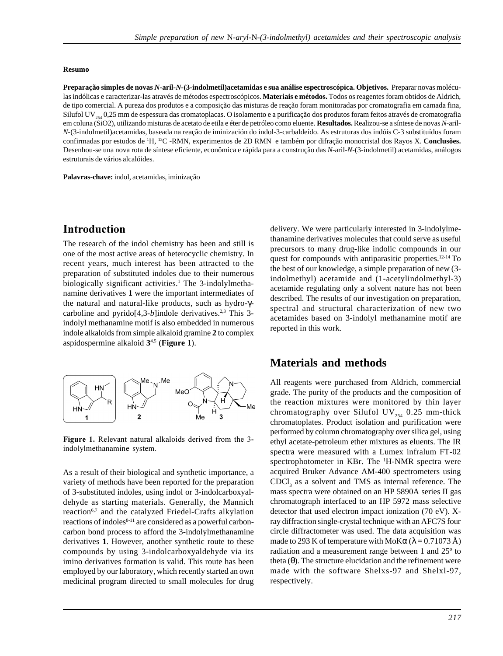#### **Resumo**

**Preparação simples de novas** *N-***aril***-N-***(3-indolmetil)acetamidas e sua análise espectroscópica. Objetivos.** Preparar novas moléculas indólicas e caracterizar-las através de métodos espectroscópicos. **Materiais e métodos.** Todos os reagentes foram obtidos de Aldrich, de tipo comercial. A pureza dos produtos e a composição das misturas de reação foram monitoradas por cromatografia em camada fina, Silufol UV<sub>254</sub> 0,25 mm de espessura das cromatoplacas. O isolamento e a purificação dos produtos foram feitos através de cromatografia em coluna (SiO2), utilizando misturas de acetato de etila e éter de petróleo como eluente. **Resultados.** Realizou-se a síntese de novas *N-*aril*-N*-(3-indolmetil)acetamidas, baseada na reação de iminización do indol-3-carbaldeído. As estruturas dos indóis C-3 substituídos foram confirmadas por estudos de 1 H, 13C -RMN, experimentos de 2D RMN e também por difração monocristal dos Rayos X. **Conclusões.** Desenhou-se una nova rota de síntese eficiente, econômica e rápida para a construção das *N*-aril-*N*-(3-indolmetil) acetamidas, análogos estruturais de vários alcalóides.

**Palavras-chave:** indol, acetamidas, iminização

## Introduction

The research of the indol chemistry has been and still is one of the most active areas of heterocyclic chemistry. In recent years, much interest has been attracted to the preparation of substituted indoles due to their numerous biologically significant activities.<sup>1</sup> The 3-indolylmethanamine derivatives **1** were the important intermediates of the natural and natural-like products, such as hydro-γcarboline and pyrido $[4,3-b]$ indole derivatives.<sup>2,3</sup> This 3indolyl methanamine motif is also embedded in numerous indole alkaloids from simple alkaloid gramine **2** to complex aspidospermine alkaloid **3**4,5 (**Figure 1**).



Figure 1. Relevant natural alkaloids derived from the 3 indolylmethanamine system.

As a result of their biological and synthetic importance, a variety of methods have been reported for the preparation of 3-substituted indoles, using indol or 3-indolcarboxyaldehyde as starting materials. Generally, the Mannich reaction<sup>6,7</sup> and the catalyzed Friedel-Crafts alkylation reactions of indoles<sup>8-11</sup> are considered as a powerful carboncarbon bond process to afford the 3-indolylmethanamine derivatives **1**. However, another synthetic route to these compounds by using 3-indolcarboxyaldehyde via its imino derivatives formation is valid. This route has been employed by our laboratory, which recently started an own medicinal program directed to small molecules for drug

delivery. We were particularly interested in 3-indolylmethanamine derivatives molecules that could serve as useful precursors to many drug-like indolic compounds in our quest for compounds with antiparasitic properties.12-14 To the best of our knowledge, a simple preparation of new (3 indolmethyl) acetamide and (1-acetylindolmethyl-3) acetamide regulating only a solvent nature has not been described. The results of our investigation on preparation, spectral and structural characterization of new two acetamides based on 3-indolyl methanamine motif are reported in this work.

## **Materials and methods**

All reagents were purchased from Aldrich, commercial grade. The purity of the products and the composition of the reaction mixtures were monitored by thin layer chromatography over Silufol UV<sub>254</sub> 0.25 mm-thick chromatoplates. Product isolation and purification were performed by column chromatography over silica gel, using ethyl acetate-petroleum ether mixtures as eluents. The IR spectra were measured with a Lumex infralum FT-02 spectrophotometer in KBr. The <sup>1</sup>H-NMR spectra were acquired Bruker Advance AM-400 spectrometers using  $CDCI<sub>3</sub>$  as a solvent and TMS as internal reference. The mass spectra were obtained on an HP 5890A series II gas chromatograph interfaced to an HP 5972 mass selective detector that used electron impact ionization (70 eV). Xray diffraction single-crystal technique with an AFC7S four circle diffractometer was used. The data acquisition was made to 293 K of temperature with MoK $\alpha$  ( $\lambda$  = 0.71073 Å) radiation and a measurement range between 1 and 25º to theta  $(θ)$ . The structure elucidation and the refinement were made with the software Shelxs-97 and Shelxl-97, respectively.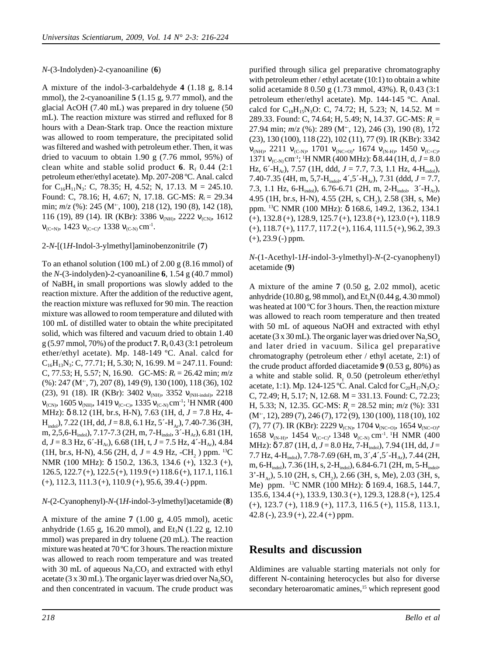### *N*-(3-Indolyden)-2-cyanoaniline (**6**)

A mixture of the indol-3-carbaldehyde **4** (1.18 g, 8.14 mmol), the 2-cyanoaniline **5** (1.15 g, 9.77 mmol), and the glacial AcOH (7.40 mL) was prepared in dry toluene (50 mL). The reaction mixture was stirred and refluxed for 8 hours with a Dean-Stark trap. Once the reaction mixture was allowed to room temperature, the precipitated solid was filtered and washed with petroleum ether. Then, it was dried to vacuum to obtain 1.90 g (7.76 mmol, 95%) of clean white and stable solid product 6.  $R_f$  0.44 (2:1) petroleum ether/ethyl acetate). Mp. 207-208 ºC. Anal. calcd for  $C_{16}H_{11}N_3$ : C, 78.35; H, 4.52; N, 17.13. M = 245.10. Found: C, 78.16; H, 4.67; N, 17.18. GC-MS:  $R_t = 29.34$ min;  $m/z$  (%): 245 (M<sup>+</sup>, 100), 218 (12), 190 (8), 142 (18), 116 (19), 89 (14). IR (KBr): 3386  $v_{(NH)}$ , 2222  $v_{(CN)}$ , 1612  $v_{(C=N)}, 1423 v_{(C=C)}, 1338 v_{(C-N)} cm^{-1}.$ 

### 2-*N*-[(1*H*-Indol-3-ylmethyl]aminobenzonitrile (**7**)

To an ethanol solution (100 mL) of 2.00 g (8.16 mmol) of the  $N-(3$ -indolyden)-2-cyanoaniline **6**, 1.54 g (40.7 mmol) of  $N$ a $BH_4$  in small proportions was slowly added to the reaction mixture. After the addition of the reductive agent, the reaction mixture was refluxed for 90 min. The reaction mixture was allowed to room temperature and diluted with 100 mL of distilled water to obtain the white precipitated solid, which was filtered and vacuum dried to obtain 1.40 g (5.97 mmol, 70%) of the product  $7. R<sub>f</sub> 0.43$  (3:1 petroleum ether/ethyl acetate). Mp. 148-149 ºC. Anal. calcd for  $C_{16}H_{13}N_3$ : C, 77.71; H, 5.30; N, 16.99. M = 247.11. Found: C, 77.53; H, 5.57; N, 16.90. GC-MS:  $R_t = 26.42$  min;  $m/z$ (%): 247 (M+·, 7), 207 (8), 149 (9), 130 (100), 118 (36), 102 (23), 91 (18). IR (KBr): 3402  $v_{(NH)}$ , 3352  $v_{(NH-indol)}$ , 2218  $V_{\text{(CN)}}$ , 1605  $V_{\text{(NH)}}$ , 1419  $V_{\text{(C=C)}}$ , 1335  $V_{\text{(C-N)}}$ cm<sup>-1</sup>; <sup>1</sup>H NMR (400 MHz): δ 8.12 (1H, br.s, H-N), 7.63 (1H, d, *J* = 7.8 Hz, 4-  $H_{indol}$ ), 7.22 (1H, dd,  $J = 8.8$ , 6.1 Hz, 5´-H<sub>Ar</sub>), 7.40-7.36 (3H, m, 2,5,6-H<sub>indol</sub>), 7.17-7.3 (2H, m, 7-H<sub>indol</sub>, 3<sup>-</sup>-H<sub>Ar</sub>), 6.81 (1H, d,  $J = 8.3$  Hz,  $6$ <sup>-</sup>H<sub>Ar</sub>), 6.68 (1H, t,  $J = 7.5$  Hz, 4<sup>-</sup>-H<sub>Ar</sub>), 4.84  $(1H, br.s, H-N)$ , 4.56  $(2H, d, J = 4.9 Hz, -CH<sub>2</sub>)$  ppm. <sup>13</sup>C NMR (100 MHz): δ 150.2, 136.3, 134.6 (+), 132.3 (+), 126.5, 122.7 (+), 122.5 (+), 119.9 (+) 118.6 (+), 117.1, 116.1 (+), 112.3, 111.3 (+), 110.9 (+), 95.6, 39.4 (-) ppm.

#### *N*-(2-Cyanophenyl)-*N*-(1*H*-indol-3-ylmethyl)acetamide (**8**)

A mixture of the amine **7** (1.00 g, 4.05 mmol), acetic anhydride (1.65 g, 16.20 mmol), and Et<sub>3</sub>N (1.22 g, 12.10) mmol) was prepared in dry toluene (20 mL). The reaction mixture was heated at 70 ºC for 3 hours. The reaction mixture was allowed to reach room temperature and was treated with 30 mL of aqueous  $Na, CO_3$  and extracted with ethyl acetate (3 x 30 mL). The organic layer was dried over  $Na<sub>2</sub>SO<sub>4</sub>$ and then concentrated in vacuum. The crude product was

purified through silica gel preparative chromatography with petroleum ether / ethyl acetate (10:1) to obtain a white solid acetamide 8 0.50 g (1.73 mmol, 43%).  $R_f$  0.43 (3:1) petroleum ether/ethyl acetate). Mp. 144-145 ºC. Anal. calcd for  $C_{18}H_{15}N_3O$ : C, 74.72; H, 5.23; N, 14.52. M = 289.33. Found: C, 74.64; H, 5.49; N, 14.37. GC-MS:  $R_{\text{t}}^{}$  = 27.94 min;  $m/z$  (%): 289 (M<sup>+</sup>, 12), 246 (3), 190 (8), 172 (23), 130 (100), 118 (22), 102 (11), 77 (9). IR (KBr): 3342  $v_{(NH)}$ , 2211  $v_{(C-N)}$ , 1701  $v_{(N-C)}$ , 1674  $v_{(N-H)}$ , 1450  $v_{(C=C)}$ , 1371  $v_{(C-N)}$  cm<sup>-1</sup>; <sup>1</sup>H NMR (400 MHz): δ 8.44 (1H, d, *J* = 8.0 Hz,  $6'$ -H<sub>Ar</sub>),  $7.57$  (1H, ddd,  $J = 7.7, 7.3, 1.1$  Hz, 4-H<sub>indol</sub>), 7.40-7.35 (4H, m, 5,7-H<sub>indol</sub>, 4<sup>2</sup>,5<sup>2</sup>-H<sub>Ar</sub>), 7.31 (ddd, *J* = 7.7, 7.3, 1.1 Hz, 6-H<sub>indol</sub>), 6.76-6.71 (2H, m, 2-H<sub>indol</sub>, 3'-H<sub>Ar</sub>), 4.95 (1H, br.s, H-N), 4.55 (2H, s, CH<sub>2</sub>), 2.58 (3H, s, Me) ppm. 13C NMR (100 MHz): δ 168.6, 149.2, 136.2, 134.1 (+), 132.8 (+), 128.9, 125.7 (+), 123.8 (+), 123.0 (+), 118.9 (+), 118.7 (+), 117.7, 117.2 (+), 116.4, 111.5 (+), 96.2, 39.3  $(+)$ , 23.9  $(-)$  ppm.

### *N*-(1-Acethyl-1*H*-indol-3-ylmethyl)-*N*-(2-cyanophenyl) acetamide (**9**)

A mixture of the amine **7** (0.50 g, 2.02 mmol), acetic anhydride (10.80 g, 98 mmol), and  $Et<sub>3</sub>N$  (0.44 g, 4.30 mmol) was heated at 100 °C for 3 hours. Then, the reaction mixture was allowed to reach room temperature and then treated with 50 mL of aqueous NaOH and extracted with ethyl acetate (3 x 30 mL). The organic layer was dried over  $\text{Na}_2\text{SO}_4$ and later dried in vacuum. Silica gel preparative chromatography (petroleum ether / ethyl acetate, 2:1) of the crude product afforded diacetamide **9** (0.53 g, 80%) as a white and stable solid.  $R_f$  0.50 (petroleum ether/ethyl acetate, 1:1). Mp. 124-125 °C. Anal. Calcd for  $C_{20}H_{17}N_3O_2$ : C, 72.49; H, 5.17; N, 12.68. M = 331.13. Found: C, 72.23; H, 5.33; N, 12.35. GC-MS:  $R = 28.52$  min;  $m/z$  (%): 331  $(M^+, 12)$ , 289 (7), 246 (7), 172 (9), 130 (100), 118 (10), 102 (7), 77 (7). IR (KBr): 2229  $v_{\text{(CN)}}$ , 1704  $v_{\text{(NC=0)}}$ , 1654  $v_{\text{(NC=0)}}$ , 1658  $v_{(N-H)}$ , 1454  $v_{(C-C)}$ , 1348  $v_{(C-N)}$  cm<sup>-1</sup>. <sup>1</sup>H NMR (400 MHz): δ 7.87 (1H, d, *J* = 8.0 Hz, 7-Hindol), 7.94 (1H, dd, *J* = 7.7 Hz, 4-H<sub>indol</sub>), 7.78-7.69 (6H, m, 3<sup>2</sup>, 4<sup>2</sup>, 5<sup>2</sup>-H<sub>Ar</sub>), 7.44 (2H, m, 6-Hindol), 7.36 (1H, s, 2-Hindol), 6.84-6.71 (2H, m, 5-Hindol,  $3'-H_{Ar}$ ), 5.10 (2H, s, CH<sub>2</sub>), 2.66 (3H, s, Me), 2.03 (3H, s, Me) ppm. 13C NMR (100 MHz): δ 169.4, 168.5, 144.7, 135.6, 134.4 (+), 133.9, 130.3 (+), 129.3, 128.8 (+), 125.4 (+), 123.7 (+), 118.9 (+), 117.3, 116.5 (+), 115.8, 113.1, 42.8 (-), 23.9 (+), 22.4 (+) ppm.

## **Results and discussion**

Aldimines are valuable starting materials not only for different N-containing heterocycles but also for diverse secondary heteroaromatic amines,<sup>15</sup> which represent good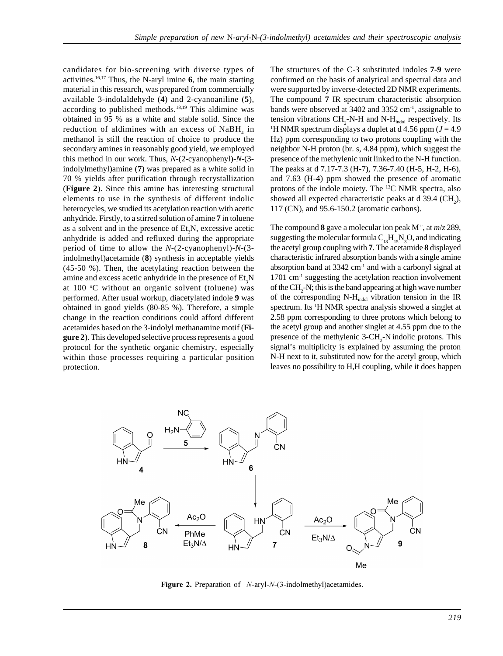candidates for bio-screening with diverse types of activities.16,17 Thus, the N-aryl imine **6**, the main starting material in this research, was prepared from commercially available 3-indolaldehyde (**4**) and 2-cyanoaniline (**5**), according to published methods.<sup>18,19</sup> This aldimine was obtained in 95 % as a white and stable solid. Since the reduction of aldimines with an excess of  $\text{NaBH}_4$  in methanol is still the reaction of choice to produce the secondary amines in reasonably good yield, we employed this method in our work. Thus, *N*-(2-cyanophenyl)-*N*-(3 indolylmethyl)amine (**7**) was prepared as a white solid in 70 % yields after purification through recrystallization (**Figure 2**). Since this amine has interesting structural elements to use in the synthesis of different indolic heterocycles, we studied its acetylation reaction with acetic anhydride. Firstly, to a stirred solution of amine **7** in toluene as a solvent and in the presence of  $Et<sub>3</sub>N$ , excessive acetic anhydride is added and refluxed during the appropriate period of time to allow the *N*-(2-cyanophenyl)-*N*-(3 indolmethyl)acetamide (**8**) synthesis in acceptable yields (45-50 %). Then, the acetylating reaction between the amine and excess acetic anhydride in the presence of  $Et<sub>3</sub>N$ at 100 °C without an organic solvent (toluene) was performed. After usual workup, diacetylated indole **9** was obtained in good yields (80-85 %). Therefore, a simple change in the reaction conditions could afford different acetamides based on the 3-indolyl methanamine motif (**Figure 2**). This developed selective process represents a good protocol for the synthetic organic chemistry, especially within those processes requiring a particular position protection.

The structures of the C-3 substituted indoles **7-9** were confirmed on the basis of analytical and spectral data and were supported by inverse-detected 2D NMR experiments. The compound **7** IR spectrum characteristic absorption bands were observed at  $3402$  and  $3352$  cm<sup>-1</sup>, assignable to tension vibrations  $CH_2$ -N-H and N-H<sub>indol</sub> respectively. Its <sup>1</sup>H NMR spectrum displays a duplet at  $d$  4.56 ppm ( $J = 4.9$ ) Hz) ppm corresponding to two protons coupling with the neighbor N-H proton (br. s, 4.84 ppm), which suggest the presence of the methylenic unit linked to the N-H function. The peaks at d 7.17-7.3 (H-7), 7.36-7.40 (H-5, H-2, H-6), and 7.63 (H-4) ppm showed the presence of aromatic protons of the indole moiety. The 13C NMR spectra, also showed all expected characteristic peaks at d  $39.4 \text{ (CH}_2)$ , 117 (CN), and 95.6-150.2 (aromatic carbons).

The compound **8** gave a molecular ion peak  $M^{+}$ , at  $m/z$  289, suggesting the molecular formula  $C_{18}H_{15}N_3O$ , and indicating the acetyl group coupling with **7**. The acetamide **8** displayed characteristic infrared absorption bands with a single amine absorption band at  $3342 \text{ cm}^{-1}$  and with a carbonyl signal at  $1701$  cm<sup>-1</sup> suggesting the acetylation reaction involvement of the  $CH_2$ -N; this is the band appearing at high wave number of the corresponding N-H<sub>indol</sub> vibration tension in the IR spectrum. Its <sup>1</sup>H NMR spectra analysis showed a singlet at 2.58 ppm corresponding to three protons which belong to the acetyl group and another singlet at 4.55 ppm due to the presence of the methylenic  $3\text{-CH}_2$ -N indolic protons. This signal's multiplicity is explained by assuming the proton N-H next to it, substituted now for the acetyl group, which leaves no possibility to H,H coupling, while it does happen



Figure 2. Preparation of *N*-aryl-*N*-(3-indolmethyl)acetamides.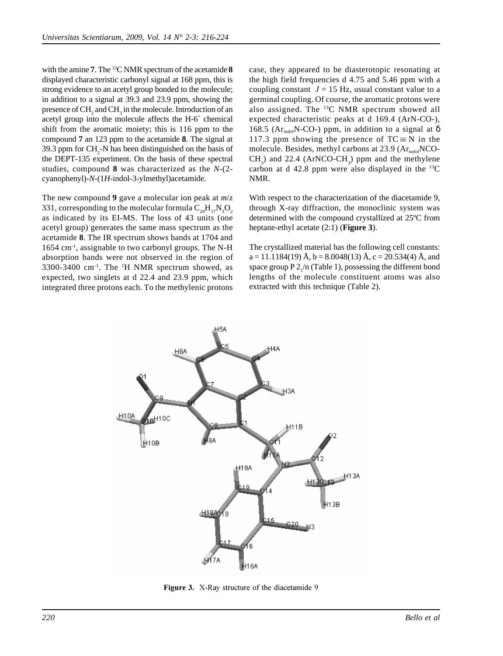with the amine **7**. The 13C NMR spectrum of the acetamide **8** displayed characteristic carbonyl signal at 168 ppm, this is strong evidence to an acetyl group bonded to the molecule; in addition to a signal at 39.3 and 23.9 ppm, showing the presence of  $\mathrm{CH}_2^{}$  and  $\mathrm{CH}_3^{}$  in the molecule. Introduction of an acetyl group into the molecule affects the H-6´ chemical shift from the aromatic moiety; this is 116 ppm to the compound **7** an 123 ppm to the acetamide **8**. The signal at 39.3 ppm for  $CH_2$ -N has been distinguished on the basis of the DEPT-135 experiment. On the basis of these spectral studies, compound **8** was characterized as the *N*-(2 cyanophenyl)-*N*-(1*H*-indol-3-ylmethyl)acetamide.

The new compound **9** gave a molecular ion peak at *m*/*z* 331, corresponding to the molecular formula  $\text{C}_{20}\text{H}_{17}\text{N}_{3}\text{O}_{2}$ as indicated by its EI-MS. The loss of 43 units (one acetyl group) generates the same mass spectrum as the acetamide **8**. The IR spectrum shows bands at 1704 and 1654 cm-1, assignable to two carbonyl groups. The N-H absorption bands were not observed in the region of  $3300-3400$  cm<sup>-1</sup>. The <sup>1</sup>H NMR spectrum showed, as expected, two singlets at d 22.4 and 23.9 ppm, which integrated three protons each. To the methylenic protons case, they appeared to be diasterotopic resonating at the high field frequencies d 4.75 and 5.46 ppm with a coupling constant  $J = 15$  Hz, usual constant value to a germinal coupling. Of course, the aromatic protons were also assigned. The 13C NMR spectrum showed all expected characteristic peaks at d 169.4 (ArN-CO-), 168.5 (Ar<sub>indol</sub>N-CO-) ppm, in addition to a signal at  $\delta$ 117.3 ppm showing the presence of  $TC \equiv N$  in the molecule. Besides, methyl carbons at  $23.9$  ( $Ar<sub>indol</sub>NCO CH_3$ ) and 22.4 (ArNCO-CH<sub>3</sub>) ppm and the methylene carbon at d 42.8 ppm were also displayed in the 13C NMR.

With respect to the characterization of the diacetamide 9, through X-ray diffraction, the monoclinic system was determined with the compound crystallized at 25ºC from heptane-ethyl acetate (2:1) (**Figure 3**).

The crystallized material has the following cell constants:  $a = 11.1184(19)$  Å,  $b = 8.0048(13)$  Å,  $c = 20.534(4)$  Å, and space group  $P 2/n$  (Table 1), possessing the different bond lengths of the molecule constituent atoms was also extracted with this technique (Table 2).



Figure 3. X-Ray structure of the diacetamide 9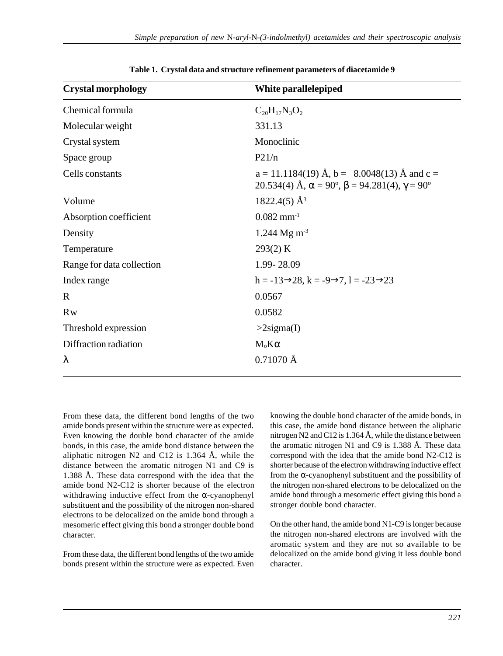| <b>Crystal morphology</b> | White parallelepiped                                                                                                                  |  |
|---------------------------|---------------------------------------------------------------------------------------------------------------------------------------|--|
| Chemical formula          | $C_{20}H_{17}N_3O_2$                                                                                                                  |  |
| Molecular weight          | 331.13                                                                                                                                |  |
| Crystal system            | Monoclinic                                                                                                                            |  |
| Space group               | P21/n                                                                                                                                 |  |
| Cells constants           | $a = 11.1184(19)$ Å, $b = 8.0048(13)$ Å and $c =$<br>20.534(4) Å, $\alpha = 90^{\circ}$ , $\beta = 94.281(4)$ , $\gamma = 90^{\circ}$ |  |
| Volume                    | $1822.4(5)$ Å <sup>3</sup>                                                                                                            |  |
| Absorption coefficient    | $0.082$ mm <sup>-1</sup>                                                                                                              |  |
| Density                   | 1.244 Mg m <sup>-3</sup>                                                                                                              |  |
| Temperature               | 293(2) K                                                                                                                              |  |
| Range for data collection | 1.99-28.09                                                                                                                            |  |
| Index range               | $h = -13 \rightarrow 28$ , $k = -9 \rightarrow 7$ , $l = -23 \rightarrow 23$                                                          |  |
| $\mathbf R$               | 0.0567                                                                                                                                |  |
| <b>Rw</b>                 | 0.0582                                                                                                                                |  |
| Threshold expression      | $>2$ sigma(I)                                                                                                                         |  |
| Diffraction radiation     | $M_{\rm o}K\alpha$                                                                                                                    |  |
| λ                         | $0.71070$ Å                                                                                                                           |  |

**Table 1. Crystal data and structure refinement parameters of diacetamide 9**

From these data, the different bond lengths of the two amide bonds present within the structure were as expected. Even knowing the double bond character of the amide bonds, in this case, the amide bond distance between the aliphatic nitrogen N2 and C12 is  $1.364 \text{ Å}$ , while the distance between the aromatic nitrogen N1 and C9 is 1.388 Å. These data correspond with the idea that the amide bond N2-C12 is shorter because of the electron withdrawing inductive effect from the  $\alpha$ -cyanophenyl substituent and the possibility of the nitrogen non-shared electrons to be delocalized on the amide bond through a mesomeric effect giving this bond a stronger double bond character.

From these data, the different bond lengths of the two amide bonds present within the structure were as expected. Even knowing the double bond character of the amide bonds, in this case, the amide bond distance between the aliphatic nitrogen N2 and C12 is 1.364 Å, while the distance between the aromatic nitrogen N1 and C9 is 1.388 Å. These data correspond with the idea that the amide bond N2-C12 is shorter because of the electron withdrawing inductive effect from the  $\alpha$ -cyanophenyl substituent and the possibility of the nitrogen non-shared electrons to be delocalized on the amide bond through a mesomeric effect giving this bond a stronger double bond character.

On the other hand, the amide bond N1-C9 is longer because the nitrogen non-shared electrons are involved with the aromatic system and they are not so available to be delocalized on the amide bond giving it less double bond character.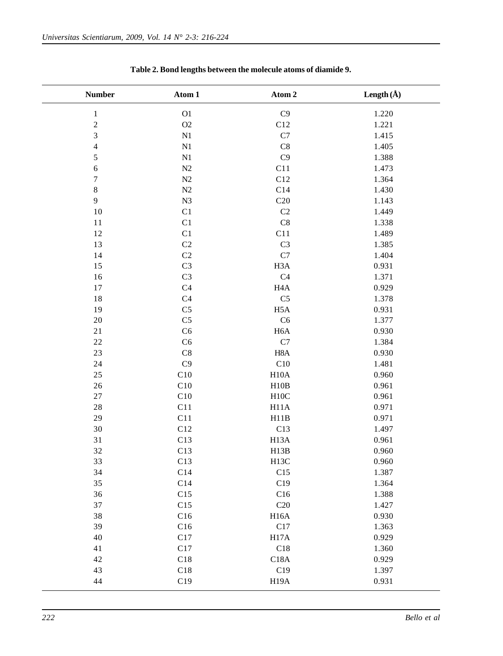| <b>Number</b>           | Atom 1                     | Atom 2            | Length $(\AA)$ |
|-------------------------|----------------------------|-------------------|----------------|
| $\,1$                   | ${\rm O}1$                 | C9                | 1.220          |
| $\overline{c}$          | O2                         | C12               | 1.221          |
| $\overline{\mathbf{3}}$ | $\mathbf{N}1$              | $\mathbf{C}7$     | 1.415          |
| $\overline{4}$          | $\mathbf{N}1$              | C8                | 1.405          |
| 5                       | $\mathbf{N}1$              | C <sub>9</sub>    | 1.388          |
| $\sqrt{6}$              | N2                         | C11               | 1.473          |
| $\overline{7}$          | N2                         | C12               | 1.364          |
| $\,8\,$                 | N2                         | C14               | 1.430          |
| 9                       | N3                         | C20               | 1.143          |
| 10                      | $\mathop{\rm C}\nolimits1$ | C2                | 1.449          |
| 11                      | $\mathop{\rm C}\nolimits1$ | C8                | 1.338          |
| 12                      | $\mathop{\rm C}\nolimits1$ | C11               | 1.489          |
| 13                      | C <sub>2</sub>             | C <sub>3</sub>    | 1.385          |
| 14                      | C <sub>2</sub>             | C7                | 1.404          |
| 15                      | C <sub>3</sub>             | H <sub>3</sub> A  | 0.931          |
| 16                      | C <sub>3</sub>             | C <sub>4</sub>    | 1.371          |
| 17                      | C <sub>4</sub>             | H <sub>4</sub> A  | 0.929          |
| 18                      | C <sub>4</sub>             | C <sub>5</sub>    | 1.378          |
| 19                      | C <sub>5</sub>             | H <sub>5</sub> A  | 0.931          |
| $20\,$                  | C <sub>5</sub>             | C6                | 1.377          |
| 21                      | C6                         | H <sub>6</sub> A  | 0.930          |
| $22\,$                  | C6                         | $\mathbf{C}7$     | 1.384          |
| 23                      | C8                         | H <sub>8</sub> A  | 0.930          |
| 24                      | C9                         | C10               | 1.481          |
| 25                      | C10                        | H10A              | 0.960          |
| 26                      | C10                        | H10B              | 0.961          |
| $27\,$                  | C10                        | H10C              | 0.961          |
| $2\sqrt{8}$             | C11                        | H11A              | 0.971          |
| 29                      | C11                        | H11B              | 0.971          |
| 30                      | C12                        | C13               | 1.497          |
| 31                      | C13                        | H <sub>13</sub> A | 0.961          |
| 32                      | C13                        | H13B              | 0.960          |
| 33                      | C13                        | H <sub>13</sub> C | 0.960          |
| 34                      | C14                        | C15               | 1.387          |
| 35                      | C14                        | C19               | 1.364          |
| 36                      | C15                        | C16               | 1.388          |
| 37                      | C15                        | C20               | 1.427          |
| 38                      | C16                        | H <sub>16</sub> A | 0.930          |
| 39                      | C16                        | C17               | 1.363          |
| 40                      | C17                        | H17A              | 0.929          |
| 41                      | C17                        | C18               | 1.360          |
| 42                      | C18                        | C18A              | 0.929          |
| 43                      | C18                        | C19               | 1.397          |
| 44                      | C19                        | H <sub>19</sub> A | 0.931          |

**Table 2. Bond lengths between the molecule atoms of diamide 9.**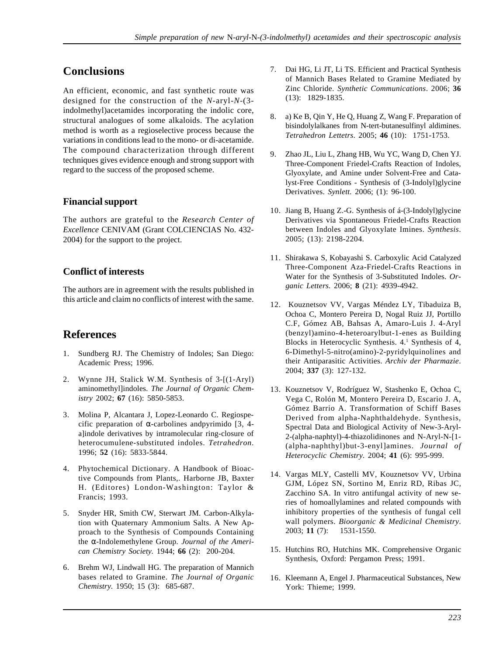# **Conclusions**

An efficient, economic, and fast synthetic route was designed for the construction of the *N*-aryl-*N*-(3 indolmethyl)acetamides incorporating the indolic core, structural analogues of some alkaloids. The acylation method is worth as a regioselective process because the variations in conditions lead to the mono- or di-acetamide. The compound characterization through different techniques gives evidence enough and strong support with regard to the success of the proposed scheme.

## **Financial support**

The authors are grateful to the *Research Center of Excellence* CENIVAM (Grant COLCIENCIAS No. 432- 2004) for the support to the project.

## **Conflict of interests**

The authors are in agreement with the results published in this article and claim no conflicts of interest with the same.

# **References**

- 1. Sundberg RJ. The Chemistry of Indoles; San Diego: Academic Press; 1996.
- 2. Wynne JH, Stalick W.M. Synthesis of 3-[(1-Aryl) aminomethyl]indoles. *The Journal of Organic Chemistry* 2002; **67** (16): 5850-5853.
- 3. Molina P, Alcantara J, Lopez-Leonardo C. Regiospecific preparation of  $\alpha$ -carbolines andpyrimido [3, 4a]indole derivatives by intramolecular ring-closure of heterocumulene-substituted indoles. *Tetrahedron*. 1996; **52** (16): 5833-5844.
- 4. Phytochemical Dictionary. A Handbook of Bioactive Compounds from Plants,. Harborne JB, Baxter H. (Editores) London-Washington: Taylor & Francis; 1993.
- 5. Snyder HR, Smith CW, Sterwart JM. Carbon-Alkylation with Quaternary Ammonium Salts. A New Approach to the Synthesis of Compounds Containing the α-Indolemethylene Group. *Journal of the American Chemistry Society.* 1944; **66** (2): 200-204.
- 6. Brehm WJ, Lindwall HG. The preparation of Mannich bases related to Gramine. *The Journal of Organic Chemistry.* 1950; 15 (3): 685-687.
- 7. Dai HG, Li JT, Li TS. Efficient and Practical Synthesis of Mannich Bases Related to Gramine Mediated by Zinc Chloride. *Synthetic Communications*. 2006; **36** (13): 1829-1835.
- 8. a) Ke B, Qin Y, He Q, Huang Z, Wang F. Preparation of bisindolylalkanes from N-tert-butanesulfinyl aldimines. *Tetrahedron Lettetrs*. 2005; **46** (10): 1751-1753.
- 9. Zhao JL, Liu L, Zhang HB, Wu YC, Wang D, Chen YJ. Three-Component Friedel-Crafts Reaction of Indoles, Glyoxylate, and Amine under Solvent-Free and Catalyst-Free Conditions - Synthesis of (3-Indolyl)glycine Derivatives. *Synlett.* 2006; (1): 96-100.
- 10. Jiang B, Huang Z.-G. Synthesis of á-(3-Indolyl)glycine Derivatives via Spontaneous Friedel-Crafts Reaction between Indoles and Glyoxylate Imines. *Synthesis*. 2005; (13): 2198-2204.
- 11. Shirakawa S, Kobayashi S. Carboxylic Acid Catalyzed Three-Component Aza-Friedel-Crafts Reactions in Water for the Synthesis of 3-Substituted Indoles. *Organic Letters.* 2006; **8** (21): 4939-4942.
- 12. Kouznetsov VV, Vargas Méndez LY, Tibaduiza B, Ochoa C, Montero Pereira D, Nogal Ruiz JJ, Portillo C.F, Gómez AB, Bahsas A, Amaro-Luis J. 4-Aryl (benzyl)amino-4-heteroarylbut-1-enes as Building Blocks in Heterocyclic Synthesis. 4.1 Synthesis of 4, 6-Dimethyl-5-nitro(amino)-2-pyridylquinolines and their Antiparasitic Activities. *Archiv der Pharmazie*. 2004; **337** (3): 127-132.
- 13. Kouznetsov V, Rodríguez W, Stashenko E, Ochoa C, Vega C, Rolón M, Montero Pereira D, Escario J. A, Gómez Barrio A. Transformation of Schiff Bases Derived from alpha-Naphthaldehyde. Synthesis, Spectral Data and Biological Activity of New-3-Aryl-2-(alpha-naphtyl)-4-thiazolidinones and N-Aryl-N-[1- (alpha-naphthyl)but-3-enyl]amines. *Journal of Heterocyclic Chemistry.* 2004; **41** (6): 995-999.
- 14. Vargas MLY, Castelli MV, Kouznetsov VV, Urbina GJM, López SN, Sortino M, Enriz RD, Ribas JC, Zacchino SA. In vitro antifungal activity of new series of homoallylamines and related compounds with inhibitory properties of the synthesis of fungal cell wall polymers. *Bioorganic & Medicinal Chemistry*. 2003; **11** (7): 1531-1550.
- 15. Hutchins RO, Hutchins MK. Comprehensive Organic Synthesis, Oxford: Pergamon Press; 1991.
- 16. Kleemann A, Engel J. Pharmaceutical Substances, New York: Thieme; 1999.